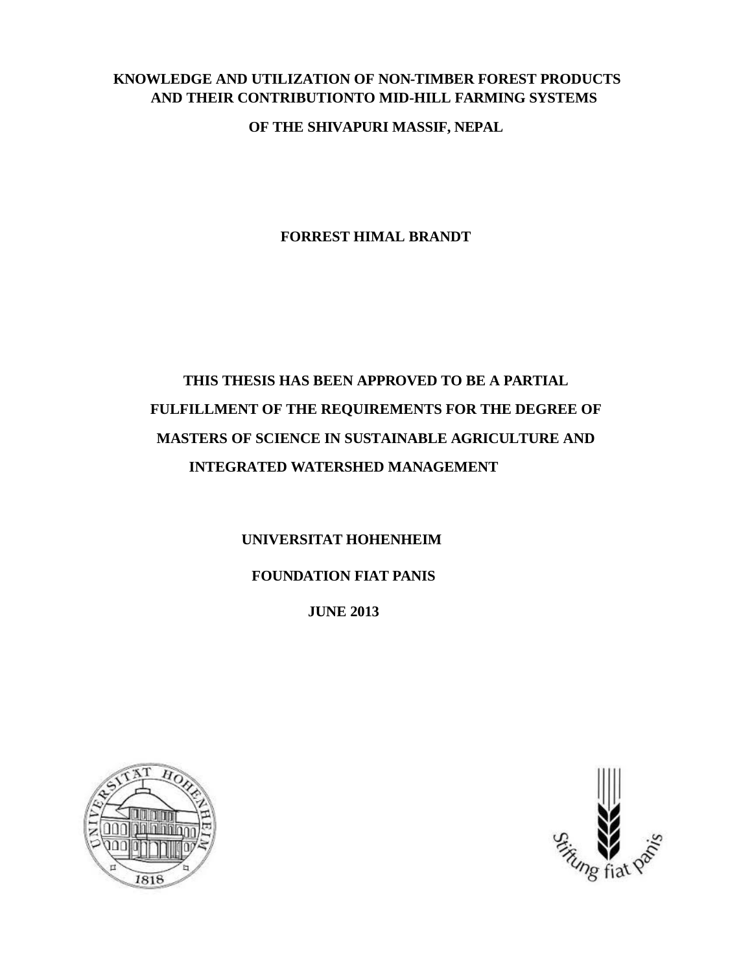## **KNOWLEDGE AND UTILIZATION OF NON-TIMBER FOREST PRODUCTS AND THEIR CONTRIBUTIONTO MID-HILL FARMING SYSTEMS**

**OF THE SHIVAPURI MASSIF, NEPAL**

**FORREST HIMAL BRANDT**

## **THIS THESIS HAS BEEN APPROVED TO BE A PARTIAL FULFILLMENT OF THE REQUIREMENTS FOR THE DEGREE OF MASTERS OF SCIENCE IN SUSTAINABLE AGRICULTURE AND INTEGRATED WATERSHED MANAGEMENT**

## **UNIVERSITAT HOHENHEIM FOUNDATION FIAT PANIS**

**JUNE 2013**